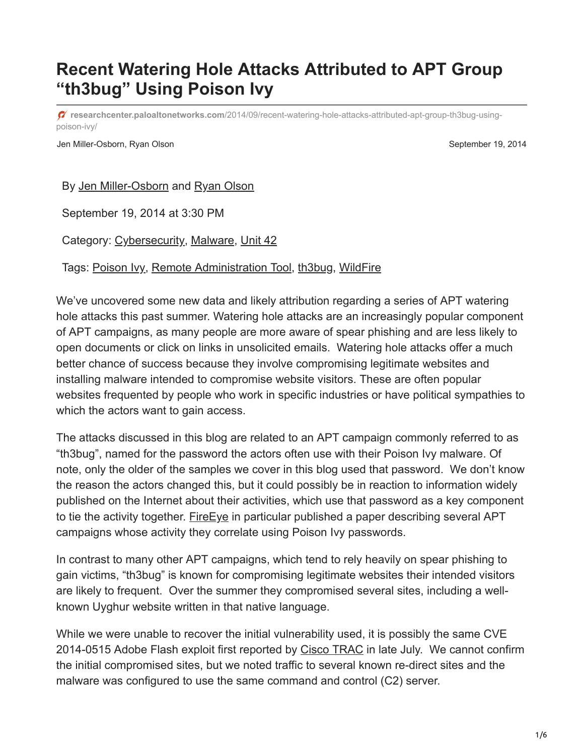## **Recent Watering Hole Attacks Attributed to APT Group "th3bug" Using Poison Ivy**

**researchcenter.paloaltonetworks.com**[/2014/09/recent-watering-hole-attacks-attributed-apt-group-th3bug-using](https://researchcenter.paloaltonetworks.com/2014/09/recent-watering-hole-attacks-attributed-apt-group-th3bug-using-poison-ivy/)poison-ivy/

Jen Miller-Osborn, Ryan Olson September 19, 2014

By [Jen Miller-Osborn](https://unit42.paloaltonetworks.com/author/jen-miller-osborn/) and [Ryan Olson](https://unit42.paloaltonetworks.com/author/ryan-olson/)

September 19, 2014 at 3:30 PM

Category: [Cybersecurity,](https://unit42.paloaltonetworks.com/category/cybersecurity-2/) [Malware,](https://unit42.paloaltonetworks.com/category/malware-2/) [Unit 42](https://unit42.paloaltonetworks.com/category/unit42/)

Tags: [Poison Ivy](https://unit42.paloaltonetworks.com/tag/poison-ivy/), [Remote Administration Tool,](https://unit42.paloaltonetworks.com/tag/remote-administration-tool/) [th3bug,](https://unit42.paloaltonetworks.com/tag/th3bug/) [WildFire](https://unit42.paloaltonetworks.com/tag/wildfire/)

We've uncovered some new data and likely attribution regarding a series of APT watering hole attacks this past summer. Watering hole attacks are an increasingly popular component of APT campaigns, as many people are more aware of spear phishing and are less likely to open documents or click on links in unsolicited emails. Watering hole attacks offer a much better chance of success because they involve compromising legitimate websites and installing malware intended to compromise website visitors. These are often popular websites frequented by people who work in specific industries or have political sympathies to which the actors want to gain access.

The attacks discussed in this blog are related to an APT campaign commonly referred to as "th3bug", named for the password the actors often use with their Poison Ivy malware. Of note, only the older of the samples we cover in this blog used that password. We don't know the reason the actors changed this, but it could possibly be in reaction to information widely published on the Internet about their activities, which use that password as a key component to tie the activity together. Fire Eye in particular published a paper describing several APT campaigns whose activity they correlate using Poison Ivy passwords.

In contrast to many other APT campaigns, which tend to rely heavily on spear phishing to gain victims, "th3bug" is known for compromising legitimate websites their intended visitors are likely to frequent. Over the summer they compromised several sites, including a wellknown Uyghur website written in that native language.

While we were unable to recover the initial vulnerability used, it is possibly the same CVE 2014-0515 Adobe Flash exploit first reported by [Cisco TRAC](http://blogs.cisco.com/security/far-east-targeted-by-drive-by/) in late July. We cannot confirm the initial compromised sites, but we noted traffic to several known re-direct sites and the malware was configured to use the same command and control (C2) server.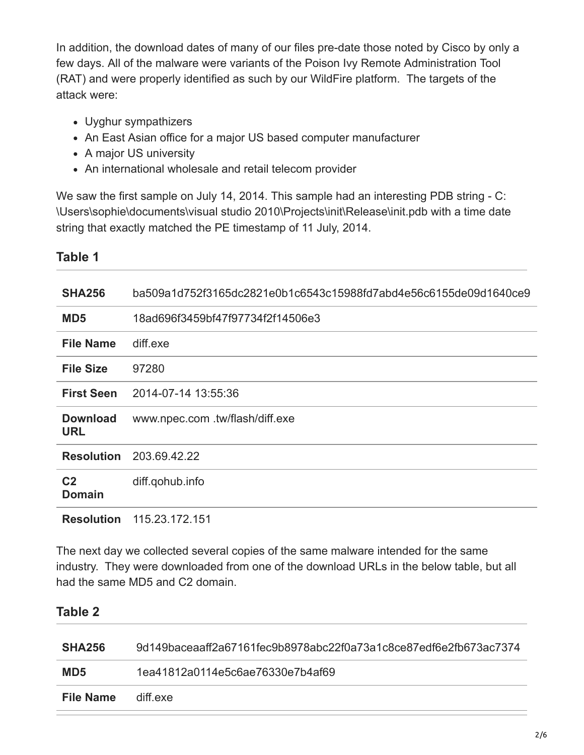In addition, the download dates of many of our files pre-date those noted by Cisco by only a few days. All of the malware were variants of the Poison Ivy Remote Administration Tool (RAT) and were properly identified as such by our WildFire platform. The targets of the attack were:

- Uyghur sympathizers
- An East Asian office for a major US based computer manufacturer
- A major US university
- An international wholesale and retail telecom provider

We saw the first sample on July 14, 2014. This sample had an interesting PDB string - C: \Users\sophie\documents\visual studio 2010\Projects\init\Release\init.pdb with a time date string that exactly matched the PE timestamp of 11 July, 2014.

| <b>SHA256</b>                   | ba509a1d752f3165dc2821e0b1c6543c15988fd7abd4e56c6155de09d1640ce9 |
|---------------------------------|------------------------------------------------------------------|
| MD <sub>5</sub>                 | 18ad696f3459bf47f97734f2f14506e3                                 |
| <b>File Name</b>                | diff.exe                                                         |
| <b>File Size</b>                | 97280                                                            |
| <b>First Seen</b>               | 2014-07-14 13:55:36                                              |
| <b>Download</b><br><b>URL</b>   | www.npec.com .tw/flash/diff.exe                                  |
| <b>Resolution</b>               | 203.69.42.22                                                     |
| C <sub>2</sub><br><b>Domain</b> | diff.qohub.info                                                  |
| <b>Resolution</b>               | 115.23.172.151                                                   |

The next day we collected several copies of the same malware intended for the same industry. They were downloaded from one of the download URLs in the below table, but all had the same MD5 and C2 domain.

## **Table 2**

**Table 1**

| <b>SHA256</b>    | 9d149baceaaff2a67161fec9b8978abc22f0a73a1c8ce87edf6e2fb673ac7374 |
|------------------|------------------------------------------------------------------|
| MD <sub>5</sub>  | 1ea41812a0114e5c6ae76330e7b4af69                                 |
| <b>File Name</b> | diff exe                                                         |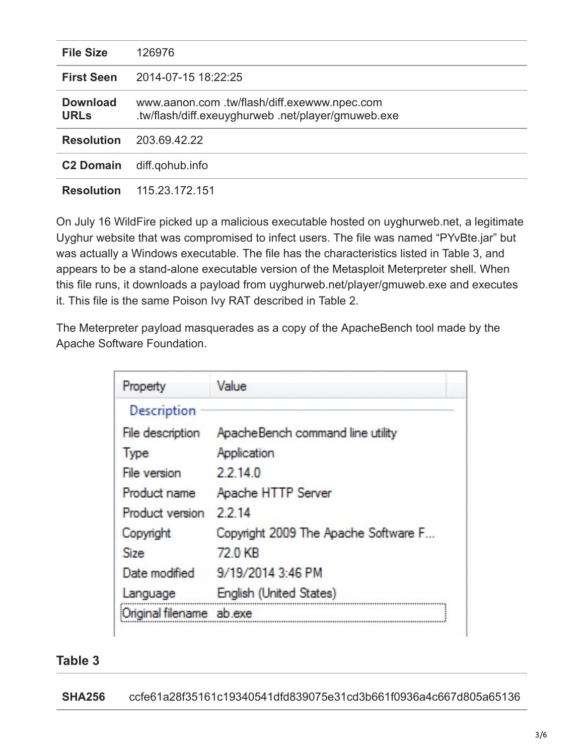| <b>File Size</b>               | 126976                                                                                           |
|--------------------------------|--------------------------------------------------------------------------------------------------|
| <b>First Seen</b>              | 2014-07-15 18:22:25                                                                              |
| <b>Download</b><br><b>URLs</b> | www.aanon.com.tw/flash/diff.exewww.npec.com<br>.tw/flash/diff.exeuyghurweb.net/player/gmuweb.exe |
| <b>Resolution</b>              | 203.69.42.22                                                                                     |
| <b>C2 Domain</b>               | diff.gohub.info                                                                                  |
| <b>Resolution</b>              | 115.23.172.151                                                                                   |

On July 16 WildFire picked up a malicious executable hosted on uyghurweb.net, a legitimate Uyghur website that was compromised to infect users. The file was named "PYvBte.jar" but was actually a Windows executable. The file has the characteristics listed in Table 3, and appears to be a stand-alone executable version of the Metasploit Meterpreter shell. When this file runs, it downloads a payload from uyghurweb.net/player/gmuweb.exe and executes it. This file is the same Poison Ivy RAT described in Table 2.

The Meterpreter payload masquerades as a copy of the ApacheBench tool made by the Apache Software Foundation.

| Property          | Value                                |
|-------------------|--------------------------------------|
| Description       |                                      |
| File description  | ApacheBench command line utility     |
| Type              | Application                          |
| File version      | 22140                                |
| Product name      | Apache HTTP Server                   |
| Product version   | 2214                                 |
| Copyright         | Copyright 2009 The Apache Software F |
| <b>Size</b>       | 72.0 KB                              |
| Date modified     | 9/19/2014 3:46 PM                    |
| Language          | English (United States)              |
| Original filename | ab.exe                               |

## **Table 3**

**SHA256** ccfe61a28f35161c19340541dfd839075e31cd3b661f0936a4c667d805a65136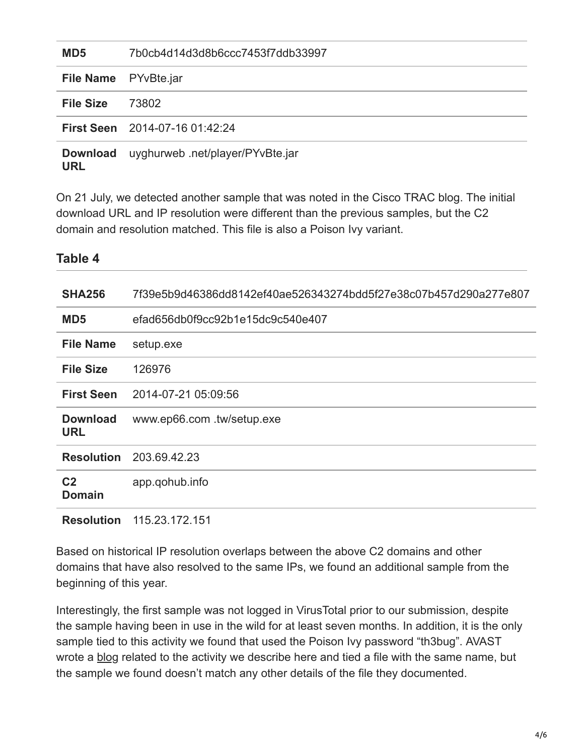| MD <sub>5</sub>               | 7b0cb4d14d3d8b6ccc7453f7ddb33997      |
|-------------------------------|---------------------------------------|
| File Name PYvBte.jar          |                                       |
| <b>File Size</b>              | 73802                                 |
|                               | <b>First Seen</b> 2014-07-16 01:42:24 |
| <b>Download</b><br><b>URL</b> | uyghurweb .net/player/PYvBte.jar      |

On 21 July, we detected another sample that was noted in the Cisco TRAC blog. The initial download URL and IP resolution were different than the previous samples, but the C2 domain and resolution matched. This file is also a Poison Ivy variant.

**Table 4**

| <b>HONIC 4</b>                  |                                                                  |
|---------------------------------|------------------------------------------------------------------|
| <b>SHA256</b>                   | 7f39e5b9d46386dd8142ef40ae526343274bdd5f27e38c07b457d290a277e807 |
| MD <sub>5</sub>                 | efad656db0f9cc92b1e15dc9c540e407                                 |
| <b>File Name</b>                | setup.exe                                                        |
| <b>File Size</b>                | 126976                                                           |
| <b>First Seen</b>               | 2014-07-21 05:09:56                                              |
| <b>Download</b><br><b>URL</b>   | www.ep66.com .tw/setup.exe                                       |
|                                 | <b>Resolution</b> 203.69.42.23                                   |
| C <sub>2</sub><br><b>Domain</b> | app.gohub.info                                                   |
| <b>Resolution</b>               | 115.23.172.151                                                   |

Based on historical IP resolution overlaps between the above C2 domains and other domains that have also resolved to the same IPs, we found an additional sample from the beginning of this year.

Interestingly, the first sample was not logged in VirusTotal prior to our submission, despite the sample having been in use in the wild for at least seven months. In addition, it is the only sample tied to this activity we found that used the Poison Ivy password "th3bug". AVAST wrote a [blog](https://blog.avast.com/2013/01/22/reporters-without-borders-website-misused-in-wateringhole-attack/) related to the activity we describe here and tied a file with the same name, but the sample we found doesn't match any other details of the file they documented.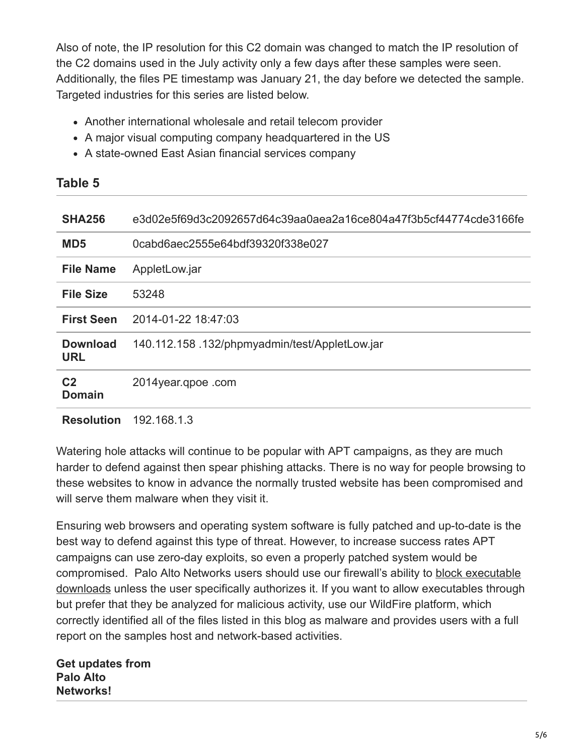Also of note, the IP resolution for this C2 domain was changed to match the IP resolution of the C2 domains used in the July activity only a few days after these samples were seen. Additionally, the files PE timestamp was January 21, the day before we detected the sample. Targeted industries for this series are listed below.

- Another international wholesale and retail telecom provider
- A major visual computing company headquartered in the US
- A state-owned East Asian financial services company

| <b>SHA256</b>                   | e3d02e5f69d3c2092657d64c39aa0aea2a16ce804a47f3b5cf44774cde3166fe |
|---------------------------------|------------------------------------------------------------------|
| MD <sub>5</sub>                 | 0cabd6aec2555e64bdf39320f338e027                                 |
| <b>File Name</b>                | AppletLow.jar                                                    |
| <b>File Size</b>                | 53248                                                            |
| <b>First Seen</b>               | 2014-01-22 18:47:03                                              |
| <b>Download</b><br><b>URL</b>   | 140.112.158.132/phpmyadmin/test/AppletLow.jar                    |
| C <sub>2</sub><br><b>Domain</b> | 2014year.gpoe.com                                                |
| <b>Resolution</b>               | 192.168.1.3                                                      |

Watering hole attacks will continue to be popular with APT campaigns, as they are much harder to defend against then spear phishing attacks. There is no way for people browsing to these websites to know in advance the normally trusted website has been compromised and will serve them malware when they visit it.

Ensuring web browsers and operating system software is fully patched and up-to-date is the best way to defend against this type of threat. However, to increase success rates APT campaigns can use zero-day exploits, so even a properly patched system would be [compromised. Palo Alto Networks users should use our firewall's ability to block executable](https://www.paloaltonetworks.com/documentation/pan-os/pan-os/section_9/chapter_6.html) downloads unless the user specifically authorizes it. If you want to allow executables through but prefer that they be analyzed for malicious activity, use our WildFire platform, which correctly identified all of the files listed in this blog as malware and provides users with a full report on the samples host and network-based activities.

**Get updates from Palo Alto Networks!**

**Table 5**